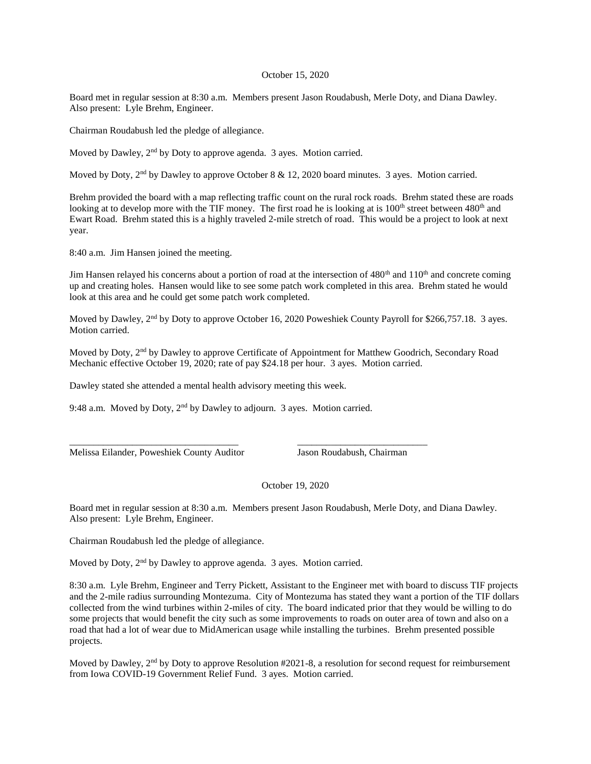## October 15, 2020

Board met in regular session at 8:30 a.m. Members present Jason Roudabush, Merle Doty, and Diana Dawley. Also present: Lyle Brehm, Engineer.

Chairman Roudabush led the pledge of allegiance.

Moved by Dawley, 2<sup>nd</sup> by Doty to approve agenda. 3 ayes. Motion carried.

Moved by Doty, 2<sup>nd</sup> by Dawley to approve October 8 & 12, 2020 board minutes. 3 ayes. Motion carried.

Brehm provided the board with a map reflecting traffic count on the rural rock roads. Brehm stated these are roads looking at to develop more with the TIF money. The first road he is looking at is  $100<sup>th</sup>$  street between  $480<sup>th</sup>$  and Ewart Road. Brehm stated this is a highly traveled 2-mile stretch of road. This would be a project to look at next year.

8:40 a.m. Jim Hansen joined the meeting.

Jim Hansen relayed his concerns about a portion of road at the intersection of  $480<sup>th</sup>$  and  $110<sup>th</sup>$  and concrete coming up and creating holes. Hansen would like to see some patch work completed in this area. Brehm stated he would look at this area and he could get some patch work completed.

Moved by Dawley, 2<sup>nd</sup> by Doty to approve October 16, 2020 Poweshiek County Payroll for \$266,757.18. 3 ayes. Motion carried.

Moved by Doty, 2nd by Dawley to approve Certificate of Appointment for Matthew Goodrich, Secondary Road Mechanic effective October 19, 2020; rate of pay \$24.18 per hour. 3 ayes. Motion carried.

Dawley stated she attended a mental health advisory meeting this week.

9:48 a.m. Moved by Doty, 2nd by Dawley to adjourn. 3 ayes. Motion carried.

\_\_\_\_\_\_\_\_\_\_\_\_\_\_\_\_\_\_\_\_\_\_\_\_\_\_\_\_\_\_\_\_\_\_\_ \_\_\_\_\_\_\_\_\_\_\_\_\_\_\_\_\_\_\_\_\_\_\_\_\_\_\_

Melissa Eilander, Poweshiek County Auditor Jason Roudabush, Chairman

October 19, 2020

Board met in regular session at 8:30 a.m. Members present Jason Roudabush, Merle Doty, and Diana Dawley. Also present: Lyle Brehm, Engineer.

Chairman Roudabush led the pledge of allegiance.

Moved by Doty, 2<sup>nd</sup> by Dawley to approve agenda. 3 ayes. Motion carried.

8:30 a.m. Lyle Brehm, Engineer and Terry Pickett, Assistant to the Engineer met with board to discuss TIF projects and the 2-mile radius surrounding Montezuma. City of Montezuma has stated they want a portion of the TIF dollars collected from the wind turbines within 2-miles of city. The board indicated prior that they would be willing to do some projects that would benefit the city such as some improvements to roads on outer area of town and also on a road that had a lot of wear due to MidAmerican usage while installing the turbines. Brehm presented possible projects.

Moved by Dawley, 2<sup>nd</sup> by Doty to approve Resolution #2021-8, a resolution for second request for reimbursement from Iowa COVID-19 Government Relief Fund. 3 ayes. Motion carried.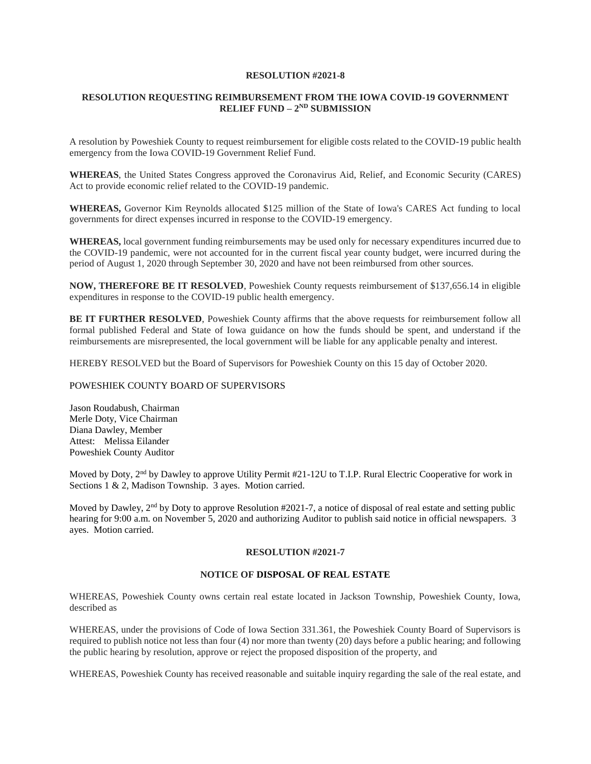## **RESOLUTION #2021-8**

# **RESOLUTION REQUESTING REIMBURSEMENT FROM THE IOWA COVID-19 GOVERNMENT RELIEF FUND – 2<sup>ND</sup> SUBMISSION**

A resolution by Poweshiek County to request reimbursement for eligible costs related to the COVID-19 public health emergency from the Iowa COVID-19 Government Relief Fund.

**WHEREAS**, the United States Congress approved the Coronavirus Aid, Relief, and Economic Security (CARES) Act to provide economic relief related to the COVID-19 pandemic.

**WHEREAS,** Governor Kim Reynolds allocated \$125 million of the State of Iowa's CARES Act funding to local governments for direct expenses incurred in response to the COVID-19 emergency.

**WHEREAS,** local government funding reimbursements may be used only for necessary expenditures incurred due to the COVID-19 pandemic, were not accounted for in the current fiscal year county budget, were incurred during the period of August 1, 2020 through September 30, 2020 and have not been reimbursed from other sources.

**NOW, THEREFORE BE IT RESOLVED**, Poweshiek County requests reimbursement of \$137,656.14 in eligible expenditures in response to the COVID-19 public health emergency.

**BE IT FURTHER RESOLVED**, Poweshiek County affirms that the above requests for reimbursement follow all formal published Federal and State of Iowa guidance on how the funds should be spent, and understand if the reimbursements are misrepresented, the local government will be liable for any applicable penalty and interest.

HEREBY RESOLVED but the Board of Supervisors for Poweshiek County on this 15 day of October 2020.

### POWESHIEK COUNTY BOARD OF SUPERVISORS

Jason Roudabush, Chairman Merle Doty, Vice Chairman Diana Dawley, Member Attest: Melissa Eilander Poweshiek County Auditor

Moved by Doty, 2<sup>nd</sup> by Dawley to approve Utility Permit #21-12U to T.I.P. Rural Electric Cooperative for work in Sections 1 & 2, Madison Township. 3 ayes. Motion carried.

Moved by Dawley,  $2<sup>nd</sup>$  by Doty to approve Resolution #2021-7, a notice of disposal of real estate and setting public hearing for 9:00 a.m. on November 5, 2020 and authorizing Auditor to publish said notice in official newspapers. 3 ayes. Motion carried.

### **RESOLUTION #2021-7**

# **NOTICE OF DISPOSAL OF REAL ESTATE**

WHEREAS, Poweshiek County owns certain real estate located in Jackson Township, Poweshiek County, Iowa, described as

WHEREAS, under the provisions of Code of Iowa Section 331.361, the Poweshiek County Board of Supervisors is required to publish notice not less than four (4) nor more than twenty (20) days before a public hearing; and following the public hearing by resolution, approve or reject the proposed disposition of the property, and

WHEREAS, Poweshiek County has received reasonable and suitable inquiry regarding the sale of the real estate, and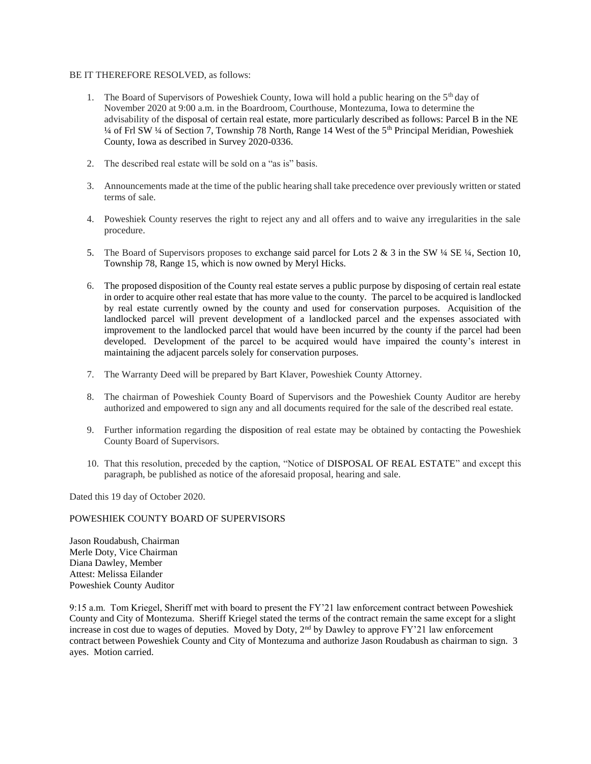### BE IT THEREFORE RESOLVED, as follows:

- 1. The Board of Supervisors of Poweshiek County, Iowa will hold a public hearing on the 5<sup>th</sup> day of November 2020 at 9:00 a.m. in the Boardroom, Courthouse, Montezuma, Iowa to determine the advisability of the disposal of certain real estate, more particularly described as follows: Parcel B in the NE ¼ of Frl SW ¼ of Section 7, Township 78 North, Range 14 West of the 5th Principal Meridian, Poweshiek County, Iowa as described in Survey 2020-0336.
- 2. The described real estate will be sold on a "as is" basis.
- 3. Announcements made at the time of the public hearing shall take precedence over previously written or stated terms of sale.
- 4. Poweshiek County reserves the right to reject any and all offers and to waive any irregularities in the sale procedure.
- 5. The Board of Supervisors proposes to exchange said parcel for Lots 2  $\&$  3 in the SW  $\frac{1}{4}$  SE  $\frac{1}{4}$ , Section 10, Township 78, Range 15, which is now owned by Meryl Hicks.
- 6. The proposed disposition of the County real estate serves a public purpose by disposing of certain real estate in order to acquire other real estate that has more value to the county. The parcel to be acquired is landlocked by real estate currently owned by the county and used for conservation purposes. Acquisition of the landlocked parcel will prevent development of a landlocked parcel and the expenses associated with improvement to the landlocked parcel that would have been incurred by the county if the parcel had been developed. Development of the parcel to be acquired would have impaired the county's interest in maintaining the adjacent parcels solely for conservation purposes.
- 7. The Warranty Deed will be prepared by Bart Klaver, Poweshiek County Attorney.
- 8. The chairman of Poweshiek County Board of Supervisors and the Poweshiek County Auditor are hereby authorized and empowered to sign any and all documents required for the sale of the described real estate.
- 9. Further information regarding the disposition of real estate may be obtained by contacting the Poweshiek County Board of Supervisors.
- 10. That this resolution, preceded by the caption, "Notice of DISPOSAL OF REAL ESTATE" and except this paragraph, be published as notice of the aforesaid proposal, hearing and sale.

Dated this 19 day of October 2020.

## POWESHIEK COUNTY BOARD OF SUPERVISORS

Jason Roudabush, Chairman Merle Doty, Vice Chairman Diana Dawley, Member Attest: Melissa Eilander Poweshiek County Auditor

9:15 a.m. Tom Kriegel, Sheriff met with board to present the FY'21 law enforcement contract between Poweshiek County and City of Montezuma. Sheriff Kriegel stated the terms of the contract remain the same except for a slight increase in cost due to wages of deputies. Moved by Doty,  $2<sup>nd</sup>$  by Dawley to approve FY'21 law enforcement contract between Poweshiek County and City of Montezuma and authorize Jason Roudabush as chairman to sign. 3 ayes. Motion carried.